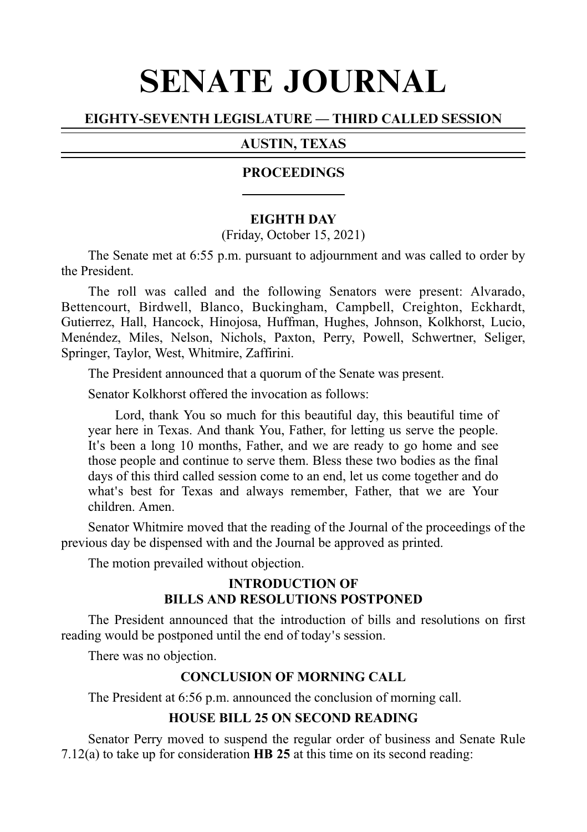# SENATE JOURNAL

# EIGHTY-SEVENTH LEGISLATURE — THIRD CALLED SESSION

# AUSTIN, TEXAS

# PROCEEDINGS

#### **EIGHTH DAY**

(Friday, October 15, 2021)

The Senate met at 6:55 p.m. pursuant to adjournment and was called to order by the President.

The roll was called and the following Senators were present: Alvarado, Bettencourt, Birdwell, Blanco, Buckingham, Campbell, Creighton, Eckhardt, Gutierrez, Hall, Hancock, Hinojosa, Huffman, Hughes, Johnson, Kolkhorst, Lucio, Menéndez, Miles, Nelson, Nichols, Paxton, Perry, Powell, Schwertner, Seliger, Springer, Taylor, West, Whitmire, Zaffirini.

The President announced that a quorum of the Senate was present.

Senator Kolkhorst offered the invocation as follows:

Lord, thank You so much for this beautiful day, this beautiful time of year here in Texas. And thank You, Father, for letting us serve the people. It's been a long 10 months, Father, and we are ready to go home and see those people and continue to serve them. Bless these two bodies as the final days of this third called session come to an end, let us come together and do what's best for Texas and always remember, Father, that we are Your children. Amen.

Senator Whitmire moved that the reading of the Journal of the proceedings of the previous day be dispensed with and the Journal be approved as printed.

The motion prevailed without objection.

#### **INTRODUCTION OF BILLS AND RESOLUTIONS POSTPONED**

The President announced that the introduction of bills and resolutions on first reading would be postponed until the end of today's session.

There was no objection.

## **CONCLUSION OF MORNING CALL**

The President at 6:56 p.m. announced the conclusion of morning call.

## **HOUSE BILL 25 ON SECOND READING**

Senator Perry moved to suspend the regular order of business and Senate Rule 7.12(a) to take up for consideration  $\bf{HB}$  25 at this time on its second reading: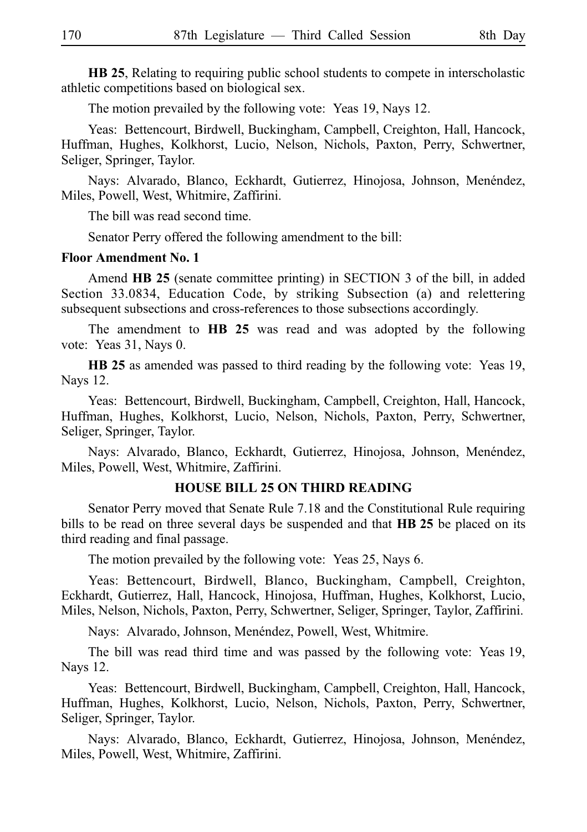**HB 25**, Relating to requiring public school students to compete in interscholastic athletic competitions based on biological sex.

The motion prevailed by the following vote: Yeas 19, Nays 12.

Yeas: Bettencourt, Birdwell, Buckingham, Campbell, Creighton, Hall, Hancock, Huffman, Hughes, Kolkhorst, Lucio, Nelson, Nichols, Paxton, Perry, Schwertner, Seliger, Springer, Taylor.

Nays: Alvarado, Blanco, Eckhardt, Gutierrez, Hinojosa, Johnson, Menéndez, Miles, Powell, West, Whitmire, Zaffirini.

The bill was read second time.

Senator Perry offered the following amendment to the bill:

#### **Floor Amendment No. 1**

Amend **HB 25** (senate committee printing) in SECTION 3 of the bill, in added Section 33.0834, Education Code, by striking Subsection (a) and relettering subsequent subsections and cross-references to those subsections accordingly.

The amendment to **HB 25** was read and was adopted by the following vote: Yeas 31, Nays 0.

**HB 25** as amended was passed to third reading by the following vote: Yeas 19, Nays 12.

Yeas: Bettencourt, Birdwell, Buckingham, Campbell, Creighton, Hall, Hancock, Huffman, Hughes, Kolkhorst, Lucio, Nelson, Nichols, Paxton, Perry, Schwertner, Seliger, Springer, Taylor.

Nays: Alvarado, Blanco, Eckhardt, Gutierrez, Hinojosa, Johnson, Menéndez, Miles, Powell, West, Whitmire, Zaffirini.

#### **HOUSE BILL 25 ON THIRD READING**

Senator Perry moved that Senate Rule 7.18 and the Constitutional Rule requiring bills to be read on three several days be suspended and that HB 25 be placed on its third reading and final passage.

The motion prevailed by the following vote: Yeas 25, Nays 6.

Yeas: Bettencourt, Birdwell, Blanco, Buckingham, Campbell, Creighton, Eckhardt, Gutierrez, Hall, Hancock, Hinojosa, Huffman, Hughes, Kolkhorst, Lucio, Miles, Nelson, Nichols, Paxton, Perry, Schwertner, Seliger, Springer, Taylor, Zaffirini.

Nays: Alvarado, Johnson, Menéndez, Powell, West, Whitmire.

The bill was read third time and was passed by the following vote: Yeas 19, Nays 12.

Yeas: Bettencourt, Birdwell, Buckingham, Campbell, Creighton, Hall, Hancock, Huffman, Hughes, Kolkhorst, Lucio, Nelson, Nichols, Paxton, Perry, Schwertner, Seliger, Springer, Taylor.

Nays: Alvarado, Blanco, Eckhardt, Gutierrez, Hinojosa, Johnson, Menéndez, Miles, Powell, West, Whitmire, Zaffirini.